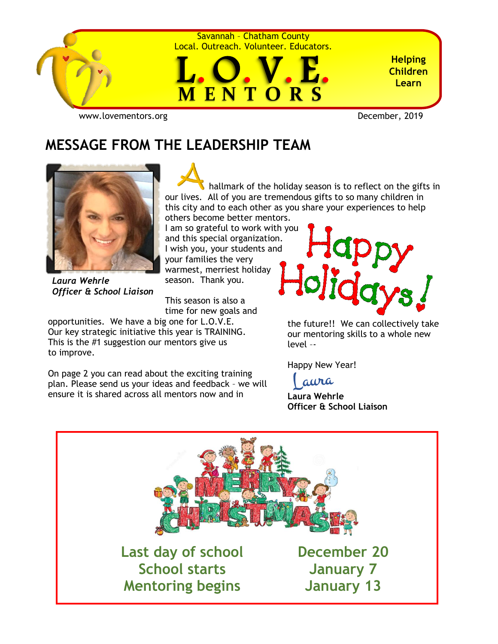

Savannah – Chatham County Local. Outreach. Volunteer. Educators.



**Helping Children Learn**

[www.lovementors.org](http://www.lovementors.org/)<br>
December, 2019

## **MESSAGE FROM THE LEADERSHIP TEAM**



 hallmark of the holiday season is to reflect on the gifts in our lives. All of you are tremendous gifts to so many children in this city and to each other as you share your experiences to help others become better mentors.

I am so grateful to work with you and this special organization. I wish you, your students and your families the very warmest, merriest holiday season. Thank you.

*Laura Wehrle Officer & School Liaison*

This season is also a time for new goals and

opportunities. We have a big one for L.O.V.E. Our key strategic initiative this year is TRAINING. This is the #1 suggestion our mentors give us to improve.

On page 2 you can read about the exciting training plan. Please send us your ideas and feedback – we will ensure it is shared across all mentors now and in



the future!! We can collectively take our mentoring skills to a whole new level –-

Happy New Year!

aura

**Laura Wehrle Officer & School Liaison**

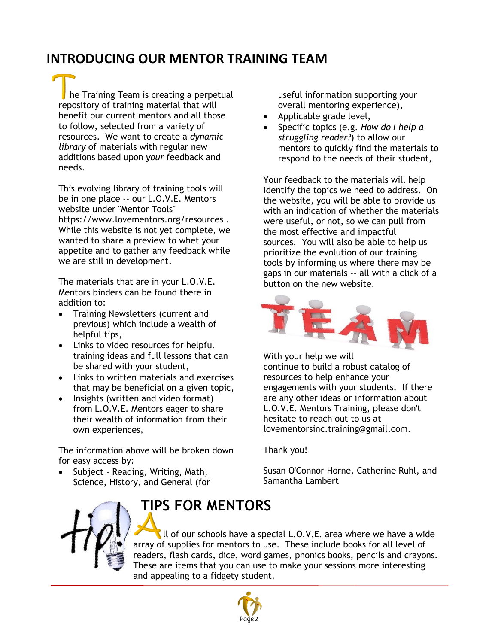#### **INTRODUCING OUR MENTOR TRAINING TEAM**

he Training Team is creating a perpetual repository of training material that will benefit our current mentors and all those to follow, selected from a variety of resources. We want to create a *dynamic library* of materials with regular new additions based upon *your* feedback and needs.

This evolving library of training tools will be in one place -- our L.O.V.E. Mentors website under "Mentor Tools" <https://www.lovementors.org/resources> . While this website is not yet complete, we wanted to share a preview to whet your appetite and to gather any feedback while we are still in development.

The materials that are in your L.O.V.E. Mentors binders can be found there in addition to:

- Training Newsletters (current and previous) which include a wealth of helpful tips,
- Links to video resources for helpful training ideas and full lessons that can be shared with your student,
- Links to written materials and exercises that may be beneficial on a given topic,
- Insights (written and video format) from L.O.V.E. Mentors eager to share their wealth of information from their own experiences,

The information above will be broken down for easy access by:

• Subject - Reading, Writing, Math, Science, History, and General (for

useful information supporting your overall mentoring experience),

- Applicable grade level,
- Specific topics (e.g. *How do I help a struggling reader?*) to allow our mentors to quickly find the materials to respond to the needs of their student,

Your feedback to the materials will help identify the topics we need to address. On the website, you will be able to provide us with an indication of whether the materials were useful, or not, so we can pull from the most effective and impactful sources. You will also be able to help us prioritize the evolution of our training tools by informing us where there may be gaps in our materials -- all with a click of a button on the new website.



With your help we will continue to build a robust catalog of resources to help enhance your engagements with your students. If there are any other ideas or information about L.O.V.E. Mentors Training, please don't hesitate to reach out to us at [lovementorsinc.training@gmail.com.](mailto:lovementorsinc.training@gmail.com)

Thank you!

Susan O'Connor Horne, Catherine Ruhl, and Samantha Lambert



# **TIPS FOR MENTORS**

It of our schools have a special  $L.O.V.E.$  area where we have a wide array of supplies for mentors to use. These include books for all level of readers, flash cards, dice, word games, phonics books, pencils and crayons. These are items that you can use to make your sessions more interesting and appealing to a fidgety student.

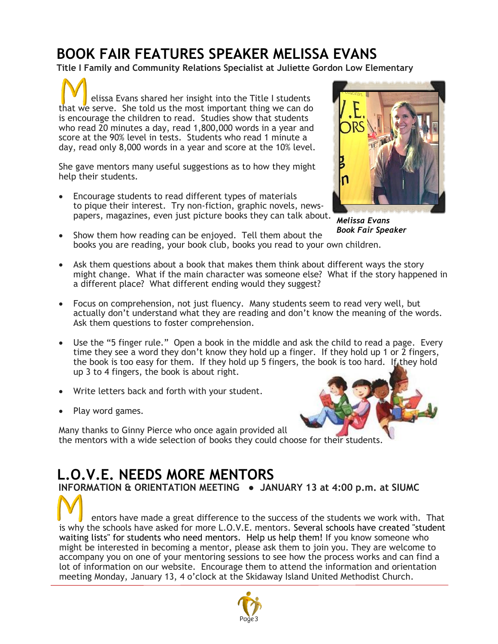# **BOOK FAIR FEATURES SPEAKER MELISSA EVANS**

**Title I Family and Community Relations Specialist at Juliette Gordon Low Elementary**

 elissa Evans shared her insight into the Title I students that we serve. She told us the most important thing we can do is encourage the children to read. Studies show that students who read 20 minutes a day, read 1,800,000 words in a year and score at the 90% level in tests. Students who read 1 minute a day, read only 8,000 words in a year and score at the 10% level.

She gave mentors many useful suggestions as to how they might help their students.

• Encourage students to read different types of materials to pique their interest. Try non-fiction, graphic novels, newspapers, magazines, even just picture books they can talk about.



*Melissa Evans Book Fair Speaker*

- Show them how reading can be enjoyed. Tell them about the books you are reading, your book club, books you read to your own children.
- Ask them questions about a book that makes them think about different ways the story might change. What if the main character was someone else? What if the story happened in a different place? What different ending would they suggest?
- Focus on comprehension, not just fluency. Many students seem to read very well, but actually don't understand what they are reading and don't know the meaning of the words. Ask them questions to foster comprehension.
- Use the "5 finger rule." Open a book in the middle and ask the child to read a page. Every time they see a word they don't know they hold up a finger. If they hold up 1 or 2 fingers, the book is too easy for them. If they hold up 5 fingers, the book is too hard. If they hold up 3 to 4 fingers, the book is about right.
- Write letters back and forth with your student.
- Play word games.



Many thanks to Ginny Pierce who once again provided all the mentors with a wide selection of books they could choose for their students.

#### **L.O.V.E. NEEDS MORE MENTORS INFORMATION & ORIENTATION MEETING ● JANUARY 13 at 4:00 p.m. at SIUMC**

 entors have made a great difference to the success of the students we work with. That is why the schools have asked for more L.O.V.E. mentors. Several schools have created "student waiting lists" for students who need mentors. Help us help them! If you know someone who might be interested in becoming a mentor, please ask them to join you. They are welcome to accompany you on one of your mentoring sessions to see how the process works and can find a lot of information on our website. Encourage them to attend the information and orientation meeting Monday, January 13, 4 o'clock at the Skidaway Island United Methodist Church.